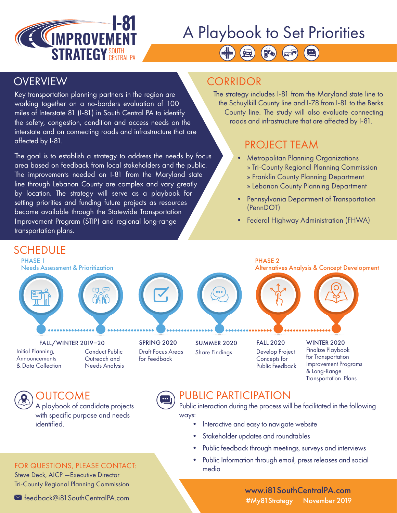

# A Playbook to Set Priorities

BOO

Key transportation planning partners in the region are working together on a no-borders evaluation of 100 miles of Interstate 81 (I-81) in South Central PA to identify the safety, congestion, condition and access needs on the interstate and on connecting roads and infrastructure that are affected by I-81.

The goal is to establish a strategy to address the needs by focus area based on feedback from local stakeholders and the public. The improvements needed on I-81 from the Maryland state line through Lebanon County are complex and vary greatly by location. The strategy will serve as a playbook for setting priorities and funding future projects as resources become available through the Statewide Transportation Improvement Program (STIP) and regional long-range transportation plans.

### OVERVIEW CORRIDOR

The strategy includes I-81 from the Maryland state line to the Schuylkill County line and I-78 from I-81 to the Berks County line. The study will also evaluate connecting roads and infrastructure that are affected by I-81.

### PROJECT TEAM

- Metropolitan Planning Organizations » Tri-County Regional Planning Commission » Franklin County Planning Department
	- » Lebanon County Planning Department
- Pennsylvania Department of Transportation (PennDOT)
- Federal Highway Administration (FHWA)

### **SCHEDULE**

PHASE 1 Needs Assessment & Prioritization









PHASE 2 Alternatives Analysis & Concept Development



#### Initial Planning, **Announcements** & Data Collection FALL/WINTER 2019–20

Conduct Public Outreach and Needs Analysis



### SUMMER 2020 Share Findings

FALL 2020 Develop Project Concepts for Public Feedback

WINTER 2020 Finalize Playbook for Transportation Improvement Programs & Long-Range Transportation Plans

## OUTCOME

A playbook of candidate projects with specific purpose and needs identified.



### PUBLIC PARTICIPATION

Public interaction during the process will be facilitated in the following ways:

- Interactive and easy to navigate website
- Stakeholder updates and roundtables
- Public feedback through meetings, surveys and interviews
- Public Information through email, press releases and social media

www.i81SouthCentralPA.com #My81Strategy November 2019

### FOR QUESTIONS, PLEASE CONTACT:

Steve Deck, AICP —Executive Director Tri-County Regional Planning Commission